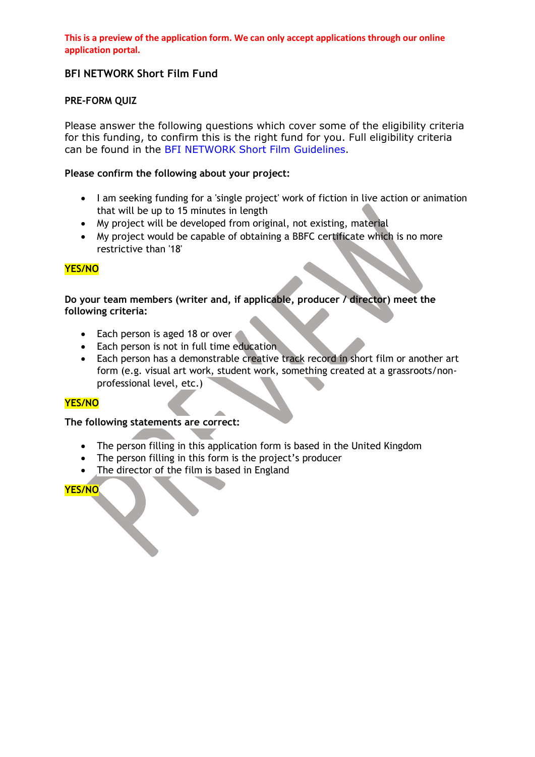# **BFI NETWORK Short Film Fund**

## **PRE-FORM QUIZ**

Please answer the following questions which cover some of the eligibility criteria for this funding, to confirm this is the right fund for you. Full eligibility criteria can be found in the [BFI NETWORK Short Film Guidelines.](https://network.bfi.org.uk/funding-available)

### **Please confirm the following about your project:**

- I am seeking funding for a 'single project' work of fiction in live action or animation that will be up to 15 minutes in length
- My project will be developed from original, not existing, material
- My project would be capable of obtaining a BBFC certificate which is no more restrictive than '18'

## **YES/NO**

## **Do your team members (writer and, if applicable, producer / director) meet the following criteria:**

- Each person is aged 18 or over
- Each person is not in full time education
- Each person has a demonstrable creative track record in short film or another art form (e.g. visual art work, student work, something created at a grassroots/nonprofessional level, etc.)

### **YES/NO**

### **The following statements are correct:**

- The person filling in this application form is based in the United Kingdom
- The person filling in this form is the project's producer
- The director of the film is based in England

# **YES/NO**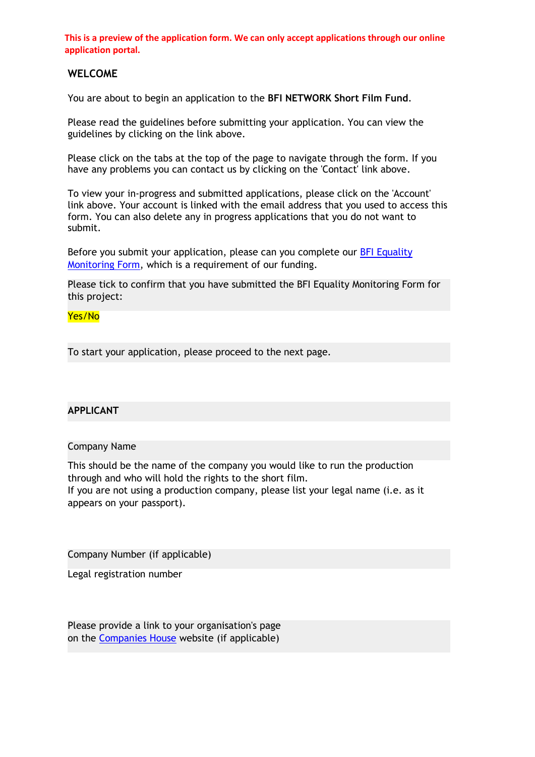## **WELCOME**

You are about to begin an application to the **BFI NETWORK Short Film Fund**.

Please read the guidelines before submitting your application. You can view the guidelines by clicking on the link above.

Please click on the tabs at the top of the page to navigate through the form. If you have any problems you can contact us by clicking on the 'Contact' link above.

To view your in-progress and submitted applications, please click on the 'Account' link above. Your account is linked with the email address that you used to access this form. You can also delete any in progress applications that you do not want to submit.

Before you submit your application, please can you complete our [BFI Equality](https://www.grantrequest.co.uk/SID_106?SA=SNA&FID=35256)  [Monitoring Form,](https://www.grantrequest.co.uk/SID_106?SA=SNA&FID=35256) which is a requirement of our funding.

Please tick to confirm that you have submitted the BFI Equality Monitoring Form for this project:

### Yes/No

To start your application, please proceed to the next page.

## **APPLICANT**

#### Company Name

This should be the name of the company you would like to run the production through and who will hold the rights to the short film.

If you are not using a production company, please list your legal name (i.e. as it appears on your passport).

Company Number (if applicable)

Legal registration number

Please provide a link to your organisation's page on the [Companies House](https://beta.companieshouse.gov.uk/search/companies) website (if applicable)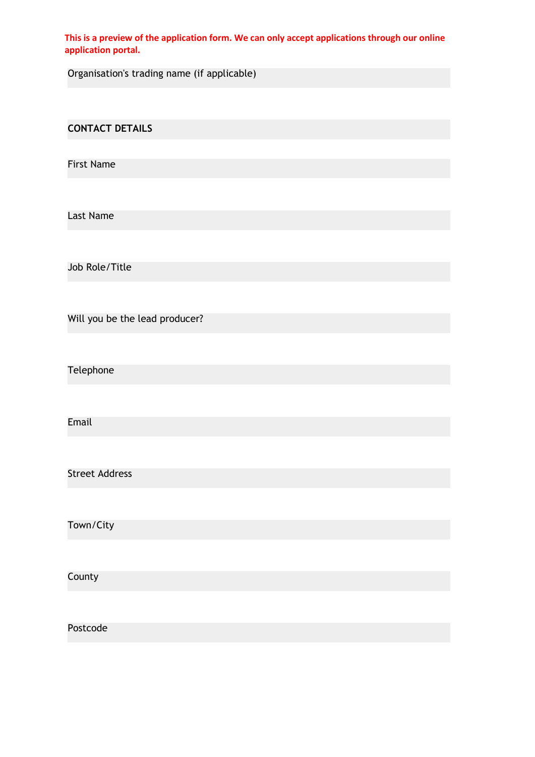Organisation's trading name (if applicable)

**CONTACT DETAILS**

First Name

Last Name

Job Role/Title

Will you be the lead producer?

Telephone

Email

Street Address

Town/City

**County** 

Postcode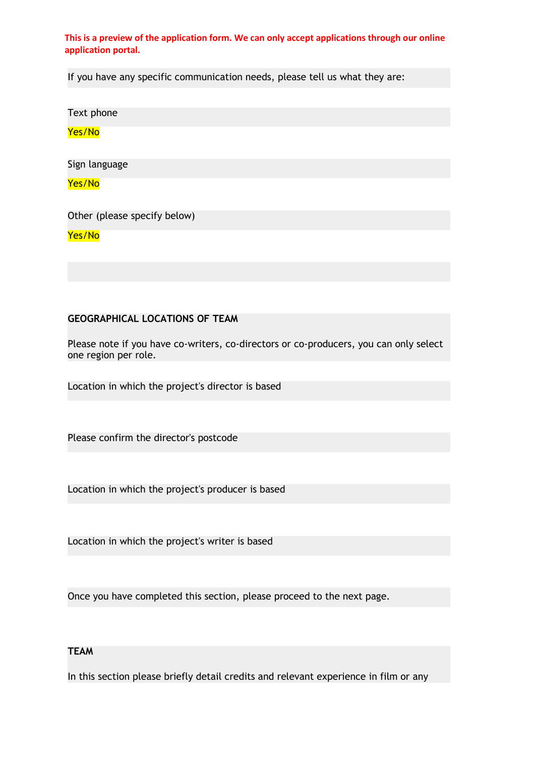If you have any specific communication needs, please tell us what they are:

Text phone

Yes/No

Sign language

Yes/No

Other (please specify below)

Yes/No

### **GEOGRAPHICAL LOCATIONS OF TEAM**

Please note if you have co-writers, co-directors or co-producers, you can only select one region per role.

Location in which the project's director is based

Please confirm the director's postcode

Location in which the project's producer is based

Location in which the project's writer is based

Once you have completed this section, please proceed to the next page.

# **TEAM**

In this section please briefly detail credits and relevant experience in film or any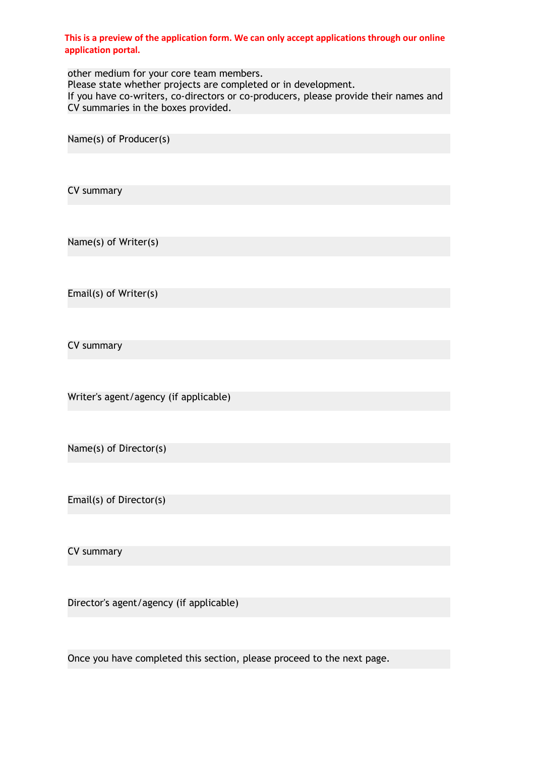other medium for your core team members. Please state whether projects are completed or in development. If you have co-writers, co-directors or co-producers, please provide their names and CV summaries in the boxes provided.

Name(s) of Producer(s)

CV summary

Name(s) of Writer(s)

Email(s) of Writer(s)

CV summary

Writer's agent/agency (if applicable)

Name(s) of Director(s)

Email(s) of Director(s)

CV summary

Director's agent/agency (if applicable)

Once you have completed this section, please proceed to the next page.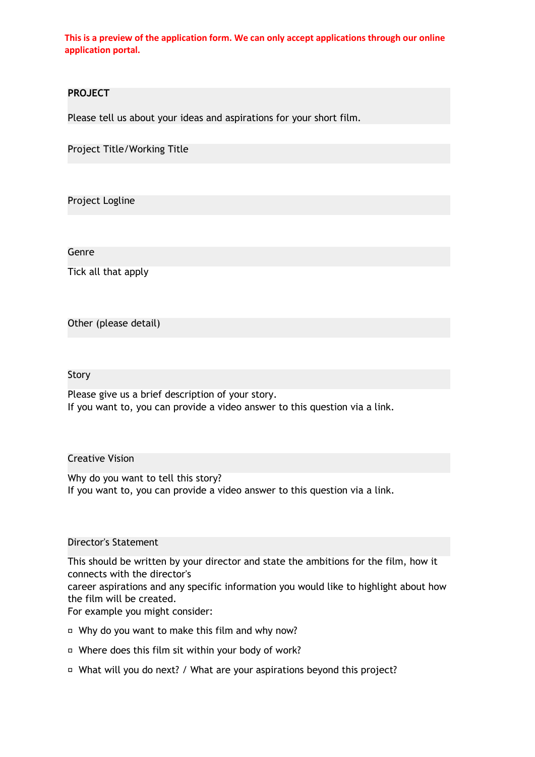## **PROJECT**

Please tell us about your ideas and aspirations for your short film.

Project Title/Working Title

Project Logline

Genre

Tick all that apply

Other (please detail)

#### Story

Please give us a brief description of your story. If you want to, you can provide a video answer to this question via a link.

# Creative Vision

Why do you want to tell this story? If you want to, you can provide a video answer to this question via a link.

### Director's Statement

This should be written by your director and state the ambitions for the film, how it connects with the director's

career aspirations and any specific information you would like to highlight about how the film will be created.

For example you might consider:

- □ Why do you want to make this film and why now?
- □ Where does this film sit within your body of work?
- □ What will you do next? / What are your aspirations beyond this project?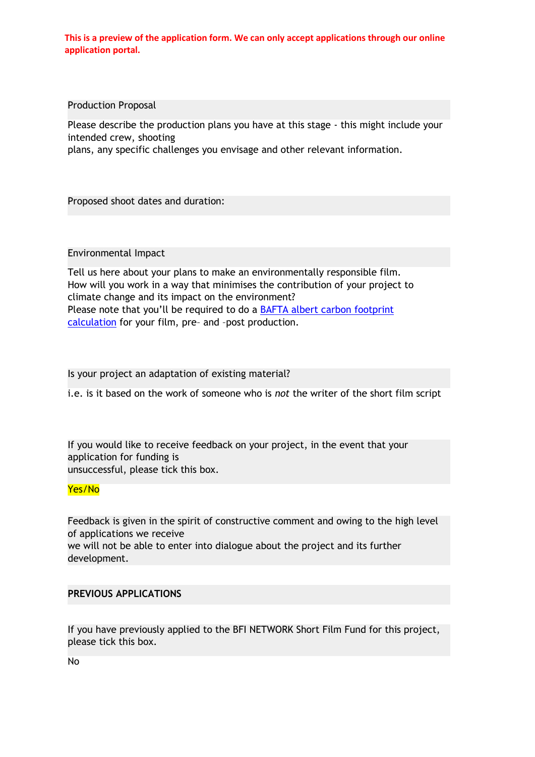Production Proposal

Please describe the production plans you have at this stage - this might include your intended crew, shooting

plans, any specific challenges you envisage and other relevant information.

Proposed shoot dates and duration:

### Environmental Impact

Tell us here about your plans to make an environmentally responsible film. How will you work in a way that minimises the contribution of your project to climate change and its impact on the environment? Please note that you'll be required to do a [BAFTA albert carbon footprint](https://wearealbert.org/carbon-calculator-and-production-certification/)  [calculation](https://wearealbert.org/carbon-calculator-and-production-certification/) for your film, pre– and –post production.

Is your project an adaptation of existing material?

i.e. is it based on the work of someone who is *not* the writer of the short film script

If you would like to receive feedback on your project, in the event that your application for funding is unsuccessful, please tick this box.

# Yes/No

Feedback is given in the spirit of constructive comment and owing to the high level of applications we receive

we will not be able to enter into dialogue about the project and its further development.

### **PREVIOUS APPLICATIONS**

If you have previously applied to the BFI NETWORK Short Film Fund for this project, please tick this box.

No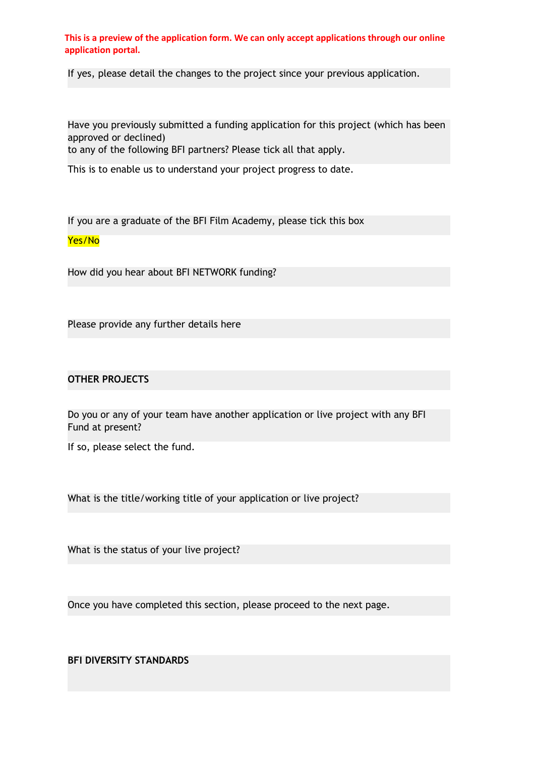If yes, please detail the changes to the project since your previous application.

Have you previously submitted a funding application for this project (which has been approved or declined)

to any of the following BFI partners? Please tick all that apply.

This is to enable us to understand your project progress to date.

If you are a graduate of the BFI Film Academy, please tick this box

## Yes/No

How did you hear about BFI NETWORK funding?

Please provide any further details here

# **OTHER PROJECTS**

Do you or any of your team have another application or live project with any BFI Fund at present?

If so, please select the fund.

What is the title/working title of your application or live project?

What is the status of your live project?

Once you have completed this section, please proceed to the next page.

# **BFI DIVERSITY STANDARDS**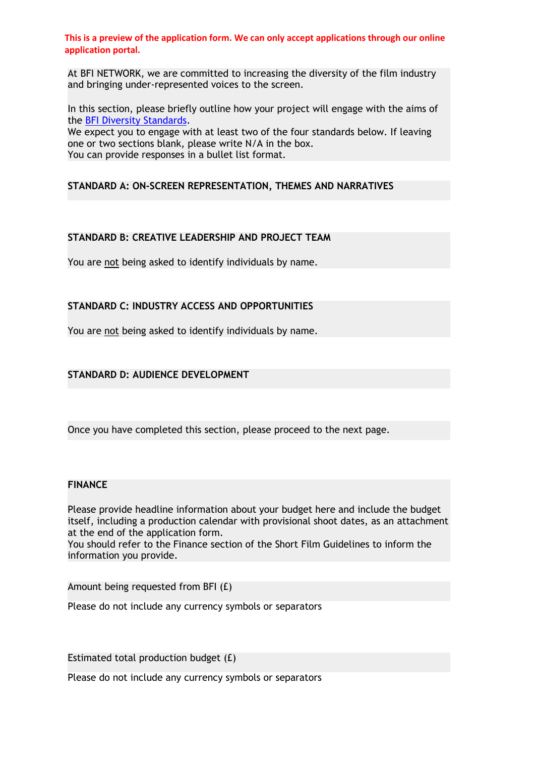At BFI NETWORK, we are committed to increasing the diversity of the film industry and bringing under-represented voices to the screen.

In this section, please briefly outline how your project will engage with the aims of the [BFI Diversity Standards.](https://www.bfi.org.uk/inclusion-film-industry/bfi-diversity-standards)

We expect you to engage with at least two of the four standards below. If leaving one or two sections blank, please write N/A in the box. You can provide responses in a bullet list format.

# **STANDARD A: ON-SCREEN REPRESENTATION, THEMES AND NARRATIVES**

## **STANDARD B: CREATIVE LEADERSHIP AND PROJECT TEAM**

You are not being asked to identify individuals by name.

## **STANDARD C: INDUSTRY ACCESS AND OPPORTUNITIES**

You are not being asked to identify individuals by name.

# **STANDARD D: AUDIENCE DEVELOPMENT**

Once you have completed this section, please proceed to the next page.

### **FINANCE**

Please provide headline information about your budget here and include the budget itself, including a production calendar with provisional shoot dates, as an attachment at the end of the application form.

You should refer to the Finance section of the Short Film Guidelines to inform the information you provide.

Amount being requested from BFI (£)

Please do not include any currency symbols or separators

Estimated total production budget (£)

Please do not include any currency symbols or separators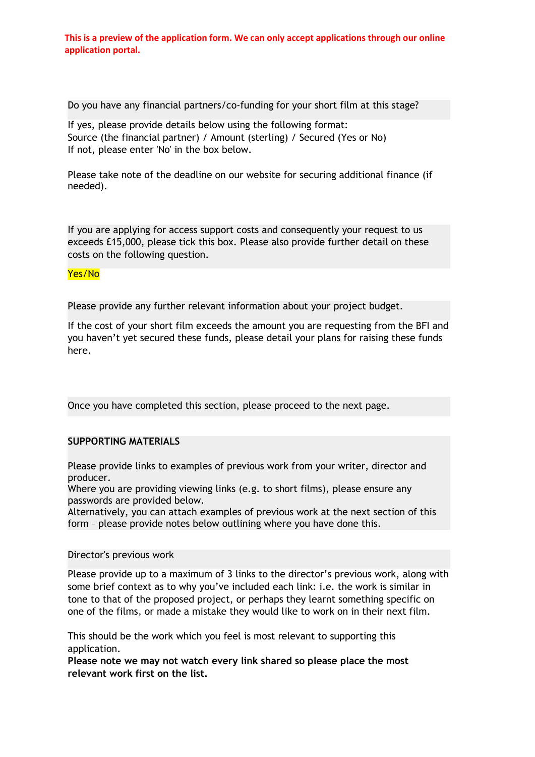Do you have any financial partners/co-funding for your short film at this stage?

If yes, please provide details below using the following format: Source (the financial partner) / Amount (sterling) / Secured (Yes or No) If not, please enter 'No' in the box below.

Please take note of the deadline on our website for securing additional finance (if needed).

If you are applying for access support costs and consequently your request to us exceeds £15,000, please tick this box. Please also provide further detail on these costs on the following question.

## Yes/No

Please provide any further relevant information about your project budget.

If the cost of your short film exceeds the amount you are requesting from the BFI and you haven't yet secured these funds, please detail your plans for raising these funds here.

Once you have completed this section, please proceed to the next page.

# **SUPPORTING MATERIALS**

Please provide links to examples of previous work from your writer, director and producer.

Where you are providing viewing links (e.g. to short films), please ensure any passwords are provided below.

Alternatively, you can attach examples of previous work at the next section of this form – please provide notes below outlining where you have done this.

## Director's previous work

Please provide up to a maximum of 3 links to the director's previous work, along with some brief context as to why you've included each link: i.e. the work is similar in tone to that of the proposed project, or perhaps they learnt something specific on one of the films, or made a mistake they would like to work on in their next film.

This should be the work which you feel is most relevant to supporting this application.

**Please note we may not watch every link shared so please place the most relevant work first on the list.**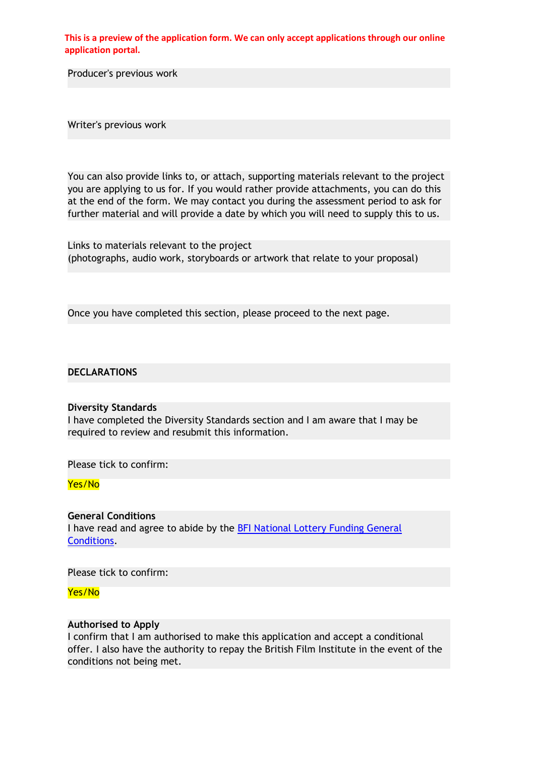Producer's previous work

Writer's previous work

You can also provide links to, or attach, supporting materials relevant to the project you are applying to us for. If you would rather provide attachments, you can do this at the end of the form. We may contact you during the assessment period to ask for further material and will provide a date by which you will need to supply this to us.

Links to materials relevant to the project (photographs, audio work, storyboards or artwork that relate to your proposal)

Once you have completed this section, please proceed to the next page.

### **DECLARATIONS**

#### **Diversity Standards**

I have completed the Diversity Standards section and I am aware that I may be required to review and resubmit this information.

Please tick to confirm:

### Yes/No

## **General Conditions**

I have read and agree to abide by the **BFI National Lottery Funding General** [Conditions.](https://www.bfi.org.uk/sites/bfi.org.uk/files/downloads/bfi-lottery-funding-general-conditions-2019-07.pdf)

Please tick to confirm:

Yes/No

### **Authorised to Apply**

I confirm that I am authorised to make this application and accept a conditional offer. I also have the authority to repay the British Film Institute in the event of the conditions not being met.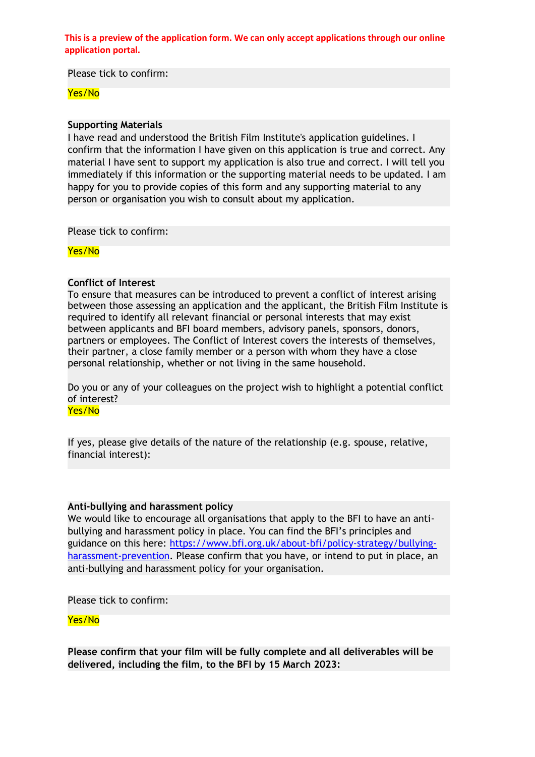Please tick to confirm:

### Yes/No

#### **Supporting Materials**

I have read and understood the British Film Institute's application guidelines. I confirm that the information I have given on this application is true and correct. Any material I have sent to support my application is also true and correct. I will tell you immediately if this information or the supporting material needs to be updated. I am happy for you to provide copies of this form and any supporting material to any person or organisation you wish to consult about my application.

Please tick to confirm:

Yes/No

#### **Conflict of Interest**

To ensure that measures can be introduced to prevent a conflict of interest arising between those assessing an application and the applicant, the British Film Institute is required to identify all relevant financial or personal interests that may exist between applicants and BFI board members, advisory panels, sponsors, donors, partners or employees. The Conflict of Interest covers the interests of themselves, their partner, a close family member or a person with whom they have a close personal relationship, whether or not living in the same household.

Do you or any of your colleagues on the project wish to highlight a potential conflict of interest?

Yes/No

If yes, please give details of the nature of the relationship (e.g. spouse, relative, financial interest):

### **Anti-bullying and harassment policy**

We would like to encourage all organisations that apply to the BFI to have an antibullying and harassment policy in place. You can find the BFI's principles and guidance on this here: [https://www.bfi.org.uk/about-bfi/policy-strategy/bullying](https://www.bfi.org.uk/about-bfi/policy-strategy/bullying-harassment-prevention)[harassment-prevention.](https://www.bfi.org.uk/about-bfi/policy-strategy/bullying-harassment-prevention) Please confirm that you have, or intend to put in place, an anti-bullying and harassment policy for your organisation.

Please tick to confirm:

#### Yes/No

**Please confirm that your film will be fully complete and all deliverables will be delivered, including the film, to the BFI by 15 March 2023:**